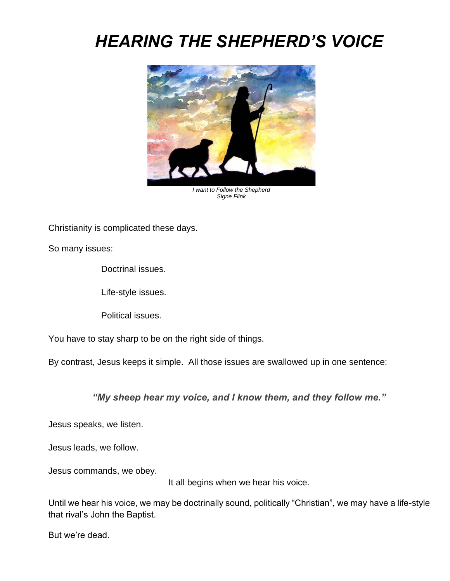# *HEARING THE SHEPHERD'S VOICE*



*I want to Follow the Shepherd Signe Flink*

Christianity is complicated these days.

So many issues:

Doctrinal issues.

Life-style issues.

Political issues.

You have to stay sharp to be on the right side of things.

By contrast, Jesus keeps it simple. All those issues are swallowed up in one sentence:

*"My sheep hear my voice, and I know them, and they follow me."*

Jesus speaks, we listen.

Jesus leads, we follow.

Jesus commands, we obey.

It all begins when we hear his voice.

Until we hear his voice, we may be doctrinally sound, politically "Christian", we may have a life-style that rival's John the Baptist.

But we're dead.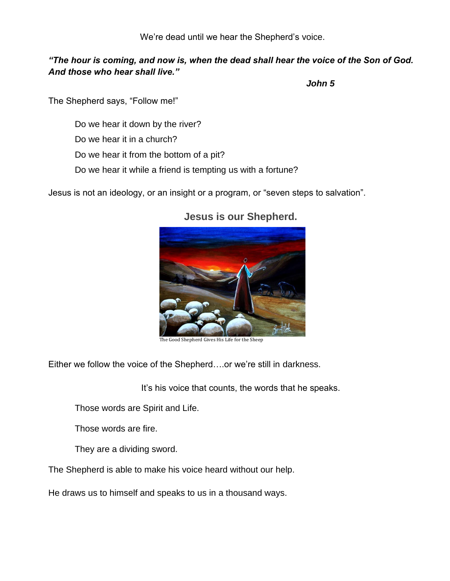We're dead until we hear the Shepherd's voice.

#### *"The hour is coming, and now is, when the dead shall hear the voice of the Son of God. And those who hear shall live."*

*John 5*

The Shepherd says, "Follow me!"

Do we hear it down by the river?

Do we hear it in a church?

Do we hear it from the bottom of a pit?

Do we hear it while a friend is tempting us with a fortune?

Jesus is not an ideology, or an insight or a program, or "seven steps to salvation".



## **Jesus is our Shepherd.**

The Good Shepherd Gives His Life for the Sheep

Either we follow the voice of the Shepherd….or we're still in darkness.

It's his voice that counts, the words that he speaks.

Those words are Spirit and Life.

Those words are fire.

They are a dividing sword.

The Shepherd is able to make his voice heard without our help.

He draws us to himself and speaks to us in a thousand ways.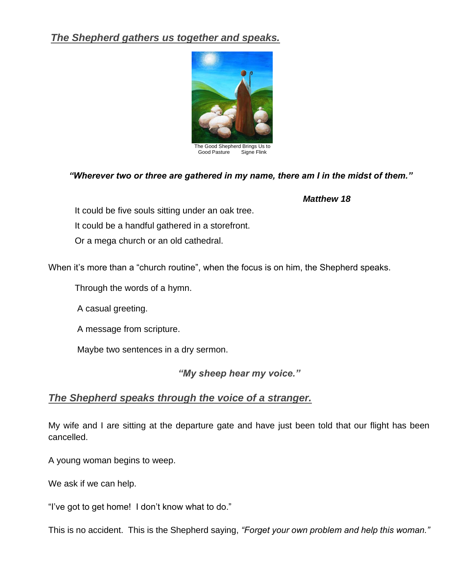## *The Shepherd gathers us together and speaks.*



#### *"Wherever two or three are gathered in my name, there am I in the midst of them."*

#### *Matthew 18*

It could be five souls sitting under an oak tree. It could be a handful gathered in a storefront. Or a mega church or an old cathedral.

When it's more than a "church routine", when the focus is on him, the Shepherd speaks.

Through the words of a hymn.

A casual greeting.

A message from scripture.

Maybe two sentences in a dry sermon.

*"My sheep hear my voice."*

## *The Shepherd speaks through the voice of a stranger.*

My wife and I are sitting at the departure gate and have just been told that our flight has been cancelled.

A young woman begins to weep.

We ask if we can help.

"I've got to get home! I don't know what to do."

This is no accident. This is the Shepherd saying, *"Forget your own problem and help this woman."*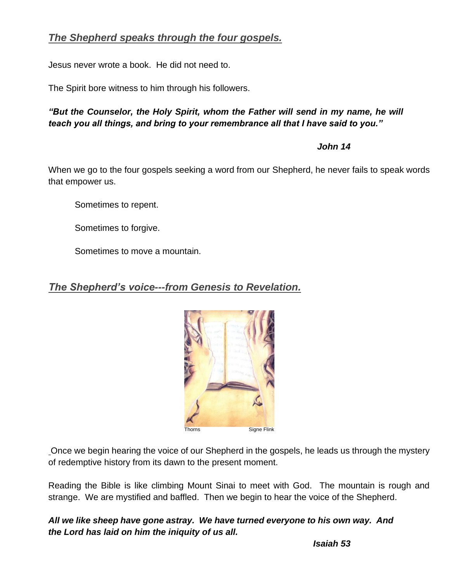## *The Shepherd speaks through the four gospels.*

Jesus never wrote a book. He did not need to.

The Spirit bore witness to him through his followers.

*"But the Counselor, the Holy Spirit, whom the Father will send in my name, he will teach you all things, and bring to your remembrance all that I have said to you."*

 *John 14*

When we go to the four gospels seeking a word from our Shepherd, he never fails to speak words that empower us.

Sometimes to repent.

Sometimes to forgive.

Sometimes to move a mountain.

## *The Shepherd's voice---from Genesis to Revelation.*



Once we begin hearing the voice of our Shepherd in the gospels, he leads us through the mystery of redemptive history from its dawn to the present moment.

Reading the Bible is like climbing Mount Sinai to meet with God. The mountain is rough and strange. We are mystified and baffled. Then we begin to hear the voice of the Shepherd.

*All we like sheep have gone astray. We have turned everyone to his own way. And the Lord has laid on him the iniquity of us all.*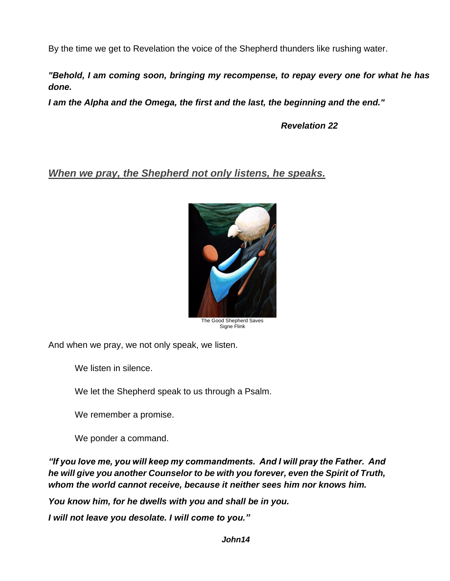By the time we get to Revelation the voice of the Shepherd thunders like rushing water.

*"Behold, I am coming soon, bringing my recompense, to repay every one for what he has done.*

*I am the Alpha and the Omega, the first and the last, the beginning and the end."*

 *Revelation 22*

*When we pray, the Shepherd not only listens, he speaks.*



Signe Flink

And when we pray, we not only speak, we listen.

We listen in silence.

We let the Shepherd speak to us through a Psalm.

We remember a promise.

We ponder a command.

*"If you love me, you will keep my commandments. And I will pray the Father. And he will give you another Counselor to be with you forever, even the Spirit of Truth, whom the world cannot receive, because it neither sees him nor knows him.*

*You know him, for he dwells with you and shall be in you.*

*I will not leave you desolate. I will come to you."*